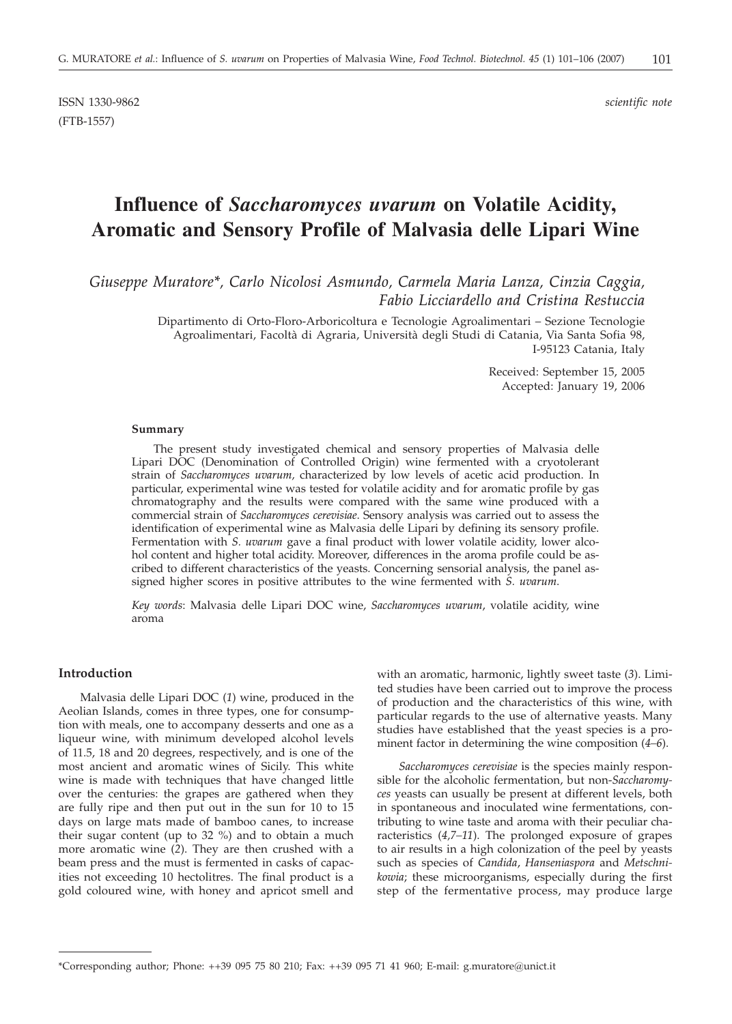ISSN 1330-9862 *scientific note* (FTB-1557)

# **Influence of** *Saccharomyces uvarum* **on Volatile Acidity, Aromatic and Sensory Profile of Malvasia delle Lipari Wine**

*Giuseppe Muratore\*, Carlo Nicolosi Asmundo, Carmela Maria Lanza, Cinzia Caggia, Fabio Licciardello and Cristina Restuccia*

> Dipartimento di Orto-Floro-Arboricoltura e Tecnologie Agroalimentari – Sezione Tecnologie Agroalimentari, Facoltà di Agraria, Università degli Studi di Catania, Via Santa Sofia 98, I-95123 Catania, Italy

> > Received: September 15, 2005 Accepted: January 19, 2006

## **Summary**

The present study investigated chemical and sensory properties of Malvasia delle Lipari DOC (Denomination of Controlled Origin) wine fermented with a cryotolerant strain of *Saccharomyces uvarum,* characterized by low levels of acetic acid production. In particular, experimental wine was tested for volatile acidity and for aromatic profile by gas chromatography and the results were compared with the same wine produced with a commercial strain of *Saccharomyces cerevisiae*. Sensory analysis was carried out to assess the identification of experimental wine as Malvasia delle Lipari by defining its sensory profile. Fermentation with *S. uvarum* gave a final product with lower volatile acidity, lower alcohol content and higher total acidity. Moreover, differences in the aroma profile could be ascribed to different characteristics of the yeasts. Concerning sensorial analysis, the panel assigned higher scores in positive attributes to the wine fermented with *S. uvarum*.

*Key words*: Malvasia delle Lipari DOC wine, *Saccharomyces uvarum*, volatile acidity, wine aroma

# **Introduction**

Malvasia delle Lipari DOC (*1*) wine, produced in the Aeolian Islands, comes in three types, one for consumption with meals, one to accompany desserts and one as a liqueur wine, with minimum developed alcohol levels of 11.5, 18 and 20 degrees, respectively, and is one of the most ancient and aromatic wines of Sicily. This white wine is made with techniques that have changed little over the centuries: the grapes are gathered when they are fully ripe and then put out in the sun for 10 to 15 days on large mats made of bamboo canes, to increase their sugar content (up to 32 %) and to obtain a much more aromatic wine (*2*). They are then crushed with a beam press and the must is fermented in casks of capacities not exceeding 10 hectolitres. The final product is a gold coloured wine, with honey and apricot smell and

with an aromatic, harmonic, lightly sweet taste (*3*). Limited studies have been carried out to improve the process of production and the characteristics of this wine, with particular regards to the use of alternative yeasts. Many studies have established that the yeast species is a prominent factor in determining the wine composition (*4–6*).

*Saccharomyces cerevisiae* is the species mainly responsible for the alcoholic fermentation, but non-*Saccharomyces* yeasts can usually be present at different levels, both in spontaneous and inoculated wine fermentations, contributing to wine taste and aroma with their peculiar characteristics (*4,7–11*). The prolonged exposure of grapes to air results in a high colonization of the peel by yeasts such as species of *Candida*, *Hanseniaspora* and *Metschnikowia*; these microorganisms, especially during the first step of the fermentative process, may produce large

<sup>\*</sup>Corresponding author; Phone: ++39 095 75 80 210; Fax: ++39 095 71 41 960; E-mail: g.muratore@unict.it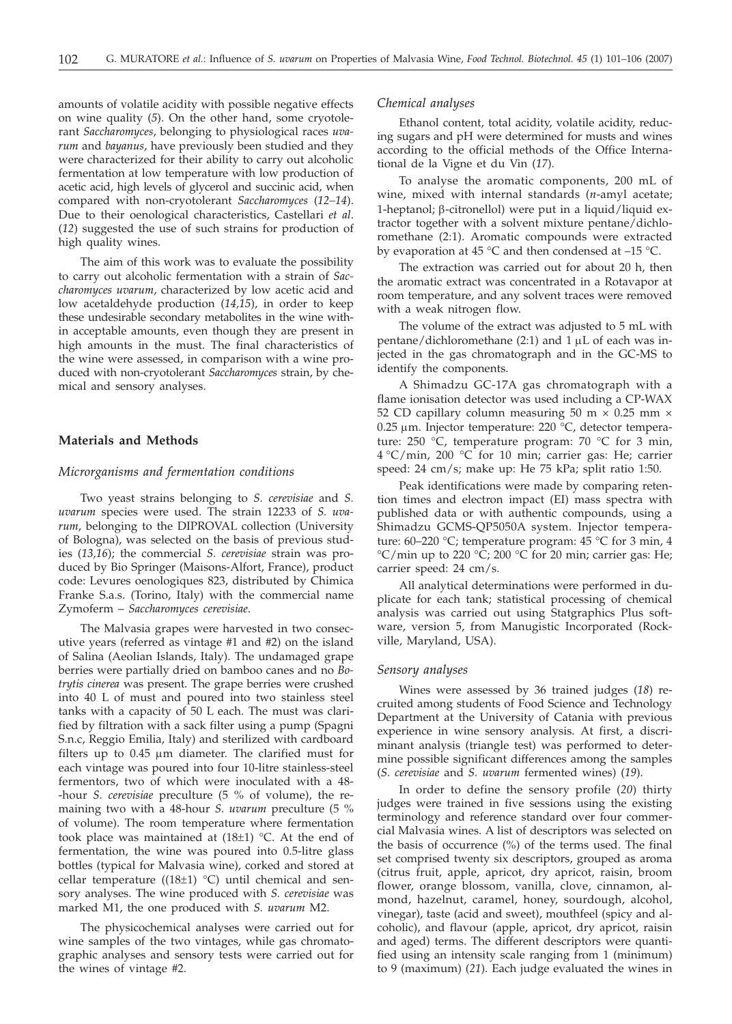amounts of volatile acidity with possible negative effects on wine quality (*5*). On the other hand, some cryotolerant *Saccharomyces*, belonging to physiological races *uvarum* and *bayanus*, have previously been studied and they were characterized for their ability to carry out alcoholic fermentation at low temperature with low production of acetic acid, high levels of glycerol and succinic acid, when compared with non-cryotolerant *Saccharomyces* (*12–14*). Due to their oenological characteristics, Castellari *et al*. (*12*) suggested the use of such strains for production of high quality wines.

The aim of this work was to evaluate the possibility to carry out alcoholic fermentation with a strain of *Saccharomyces uvarum*, characterized by low acetic acid and low acetaldehyde production (*14,15*), in order to keep these undesirable secondary metabolites in the wine within acceptable amounts, even though they are present in high amounts in the must. The final characteristics of the wine were assessed, in comparison with a wine produced with non-cryotolerant *Saccharomyces* strain, by chemical and sensory analyses.

# **Materials and Methods**

# *Microrganisms and fermentation conditions*

Two yeast strains belonging to *S. cerevisiae* and *S. uvarum* species were used. The strain 12233 of *S. uvarum*, belonging to the DIPROVAL collection (University of Bologna), was selected on the basis of previous studies (*13,16*); the commercial *S. cerevisiae* strain was produced by Bio Springer (Maisons-Alfort, France), product code: Levures oenologiques 823, distributed by Chimica Franke S.a.s. (Torino, Italy) with the commercial name Zymoferm – *Saccharomyces cerevisiae*.

The Malvasia grapes were harvested in two consecutive years (referred as vintage #1 and #2) on the island of Salina (Aeolian Islands, Italy). The undamaged grape berries were partially dried on bamboo canes and no *Botrytis cinerea* was present. The grape berries were crushed into 40 L of must and poured into two stainless steel tanks with a capacity of 50 L each. The must was clarified by filtration with a sack filter using a pump (Spagni S.n.c, Reggio Emilia, Italy) and sterilized with cardboard filters up to  $0.45 \mu m$  diameter. The clarified must for each vintage was poured into four 10-litre stainless-steel fermentors, two of which were inoculated with a 48- -hour *S. cerevisiae* preculture (5 % of volume), the remaining two with a 48-hour *S. uvarum* preculture (5 % of volume). The room temperature where fermentation took place was maintained at  $(18±1)$  °C. At the end of fermentation, the wine was poured into 0.5-litre glass bottles (typical for Malvasia wine), corked and stored at cellar temperature ((18 $\pm$ 1) °C) until chemical and sensory analyses. The wine produced with *S. cerevisiae* was marked M1, the one produced with *S. uvarum* M2.

The physicochemical analyses were carried out for wine samples of the two vintages, while gas chromatographic analyses and sensory tests were carried out for the wines of vintage #2.

# *Chemical analyses*

Ethanol content, total acidity, volatile acidity, reducing sugars and pH were determined for musts and wines according to the official methods of the Office International de la Vigne et du Vin (*17*).

To analyse the aromatic components, 200 mL of wine, mixed with internal standards (*n*-amyl acetate; 1-heptanol;  $\beta$ -citronellol) were put in a liquid/liquid extractor together with a solvent mixture pentane/dichloromethane (2:1). Aromatic compounds were extracted by evaporation at 45  $\degree$ C and then condensed at -15  $\degree$ C.

The extraction was carried out for about 20 h, then the aromatic extract was concentrated in a Rotavapor at room temperature, and any solvent traces were removed with a weak nitrogen flow.

The volume of the extract was adjusted to 5 mL with pentane/dichloromethane  $(2:1)$  and  $1 \mu L$  of each was injected in the gas chromatograph and in the GC-MS to identify the components.

A Shimadzu GC-17A gas chromatograph with a flame ionisation detector was used including a CP-WAX 52 CD capillary column measuring 50 m  $\times$  0.25 mm  $\times$ 0.25 µm. Injector temperature: 220 °C, detector temperature: 250 °C, temperature program: 70 °C for 3 min, 4 °C/min, 200 °C for 10 min; carrier gas: He; carrier speed: 24 cm/s; make up: He 75 kPa; split ratio 1:50.

Peak identifications were made by comparing retention times and electron impact (EI) mass spectra with published data or with authentic compounds, using a Shimadzu GCMS-QP5050A system. Injector temperature: 60–220 °C; temperature program: 45 °C for 3 min, 4  $\rm{^{\circ}C/min}$  up to 220  $\rm{^{\circ}C}$ ; 200  $\rm{^{\circ}C}$  for 20 min; carrier gas: He; carrier speed: 24 cm/s.

All analytical determinations were performed in duplicate for each tank; statistical processing of chemical analysis was carried out using Statgraphics Plus software, version 5, from Manugistic Incorporated (Rockville, Maryland, USA).

### *Sensory analyses*

Wines were assessed by 36 trained judges (*18*) recruited among students of Food Science and Technology Department at the University of Catania with previous experience in wine sensory analysis. At first, a discriminant analysis (triangle test) was performed to determine possible significant differences among the samples (*S. cerevisiae* and *S. uvarum* fermented wines) (*19*).

In order to define the sensory profile (*20*) thirty judges were trained in five sessions using the existing terminology and reference standard over four commercial Malvasia wines. A list of descriptors was selected on the basis of occurrence (%) of the terms used. The final set comprised twenty six descriptors, grouped as aroma (citrus fruit, apple, apricot, dry apricot, raisin, broom flower, orange blossom, vanilla, clove, cinnamon, almond, hazelnut, caramel, honey, sourdough, alcohol, vinegar), taste (acid and sweet), mouthfeel (spicy and alcoholic), and flavour (apple, apricot, dry apricot, raisin and aged) terms. The different descriptors were quantified using an intensity scale ranging from 1 (minimum) to 9 (maximum) (*21*). Each judge evaluated the wines in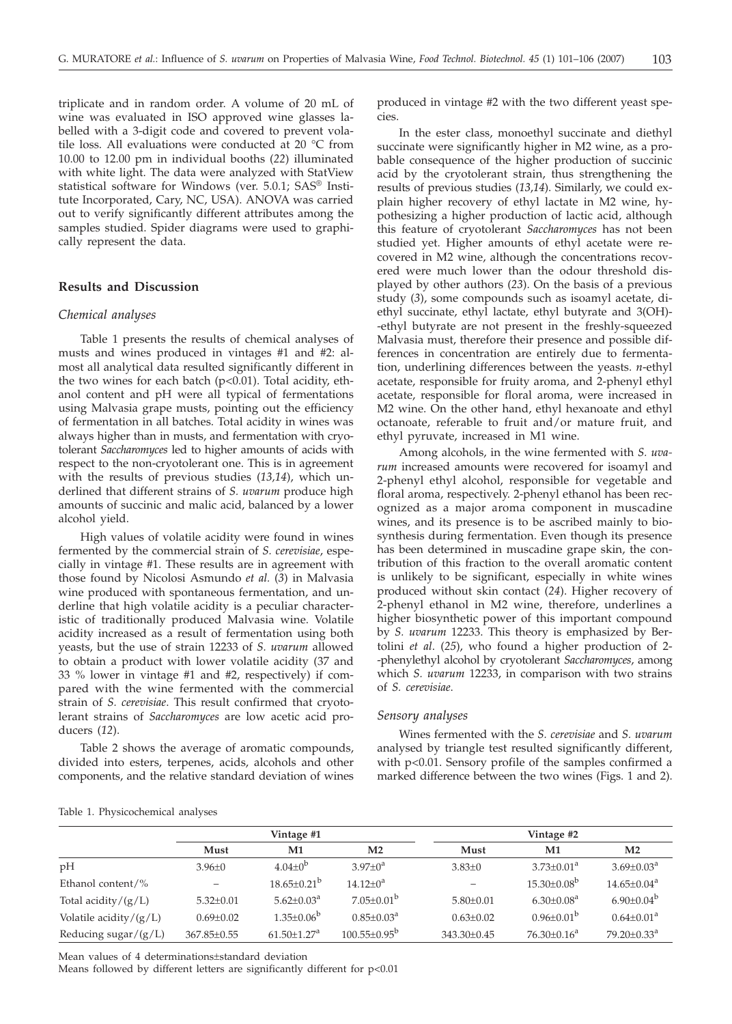triplicate and in random order. A volume of 20 mL of wine was evaluated in ISO approved wine glasses labelled with a 3-digit code and covered to prevent volatile loss. All evaluations were conducted at 20 °C from 10.00 to 12.00 pm in individual booths (*22*) illuminated with white light. The data were analyzed with StatView statistical software for Windows (ver. 5.0.1; SAS® Institute Incorporated, Cary, NC, USA). ANOVA was carried out to verify significantly different attributes among the samples studied. Spider diagrams were used to graphically represent the data.

# **Results and Discussion**

# *Chemical analyses*

Table 1 presents the results of chemical analyses of musts and wines produced in vintages #1 and #2: almost all analytical data resulted significantly different in the two wines for each batch (p<0.01). Total acidity, ethanol content and pH were all typical of fermentations using Malvasia grape musts, pointing out the efficiency of fermentation in all batches. Total acidity in wines was always higher than in musts, and fermentation with cryotolerant *Saccharomyces* led to higher amounts of acids with respect to the non-cryotolerant one. This is in agreement with the results of previous studies (*13,14*), which underlined that different strains of *S. uvarum* produce high amounts of succinic and malic acid, balanced by a lower alcohol yield.

High values of volatile acidity were found in wines fermented by the commercial strain of *S. cerevisiae*, especially in vintage #1. These results are in agreement with those found by Nicolosi Asmundo *et al.* (*3*) in Malvasia wine produced with spontaneous fermentation, and underline that high volatile acidity is a peculiar characteristic of traditionally produced Malvasia wine. Volatile acidity increased as a result of fermentation using both yeasts, but the use of strain 12233 of *S. uvarum* allowed to obtain a product with lower volatile acidity (37 and 33 % lower in vintage #1 and #2, respectively) if compared with the wine fermented with the commercial strain of *S. cerevisiae*. This result confirmed that cryotolerant strains of *Saccharomyces* are low acetic acid producers (*12*).

Table 2 shows the average of aromatic compounds, divided into esters, terpenes, acids, alcohols and other components, and the relative standard deviation of wines

produced in vintage #2 with the two different yeast species.

In the ester class, monoethyl succinate and diethyl succinate were significantly higher in M2 wine, as a probable consequence of the higher production of succinic acid by the cryotolerant strain, thus strengthening the results of previous studies (*13*,*14*). Similarly, we could explain higher recovery of ethyl lactate in M2 wine, hypothesizing a higher production of lactic acid, although this feature of cryotolerant *Saccharomyces* has not been studied yet. Higher amounts of ethyl acetate were recovered in M2 wine, although the concentrations recovered were much lower than the odour threshold displayed by other authors (*23*). On the basis of a previous study (*3*), some compounds such as isoamyl acetate, diethyl succinate, ethyl lactate, ethyl butyrate and 3(OH)- -ethyl butyrate are not present in the freshly-squeezed Malvasia must, therefore their presence and possible differences in concentration are entirely due to fermentation, underlining differences between the yeasts. *n*-ethyl acetate, responsible for fruity aroma, and 2-phenyl ethyl acetate, responsible for floral aroma, were increased in M2 wine. On the other hand, ethyl hexanoate and ethyl octanoate, referable to fruit and/or mature fruit, and ethyl pyruvate, increased in M1 wine.

Among alcohols, in the wine fermented with *S. uvarum* increased amounts were recovered for isoamyl and 2-phenyl ethyl alcohol, responsible for vegetable and floral aroma, respectively. 2-phenyl ethanol has been recognized as a major aroma component in muscadine wines, and its presence is to be ascribed mainly to biosynthesis during fermentation. Even though its presence has been determined in muscadine grape skin, the contribution of this fraction to the overall aromatic content is unlikely to be significant, especially in white wines produced without skin contact (*24*). Higher recovery of 2-phenyl ethanol in M2 wine, therefore, underlines a higher biosynthetic power of this important compound by *S. uvarum* 12233. This theory is emphasized by Bertolini *et al*. (*25*), who found a higher production of 2- -phenylethyl alcohol by cryotolerant *Saccharomyces*, among which *S. uvarum* 12233, in comparison with two strains of *S. cerevisiae*.

#### *Sensory analyses*

Wines fermented with the *S. cerevisiae* and *S. uvarum* analysed by triangle test resulted significantly different, with p<0.01. Sensory profile of the samples confirmed a marked difference between the two wines (Figs. 1 and 2).

|                         | Vintage #1      |                               |                            | Vintage #2      |                              |                               |  |
|-------------------------|-----------------|-------------------------------|----------------------------|-----------------|------------------------------|-------------------------------|--|
|                         | Must            | M1                            | M <sub>2</sub>             | Must            | M1                           | M <sub>2</sub>                |  |
| pН                      | $3.96 \pm 0$    | $4.04+0^{b}$                  | $3.97+0^a$                 | $3.83 \pm 0$    | $3.73 \pm 0.01^a$            | $3.69 \pm 0.03^a$             |  |
| Ethanol content/%       |                 | $18.65 \pm 0.21^{\mathrm{b}}$ | $14.12 + 0^a$              | $\qquad \qquad$ | $15.30 \pm 0.08^{\rm b}$     | $14.65 \pm 0.04^{\text{a}}$   |  |
| Total acidity/ $(g/L)$  | $5.32 \pm 0.01$ | $5.62 + 0.03a$                | $7.05 \pm 0.01^{\rm b}$    | $5.80 \pm 0.01$ | $6.30 \pm 0.08$ <sup>a</sup> | $6.90 \pm 0.04^b$             |  |
| Volatile acidity/(g/L)  | $0.69 \pm 0.02$ | $1.35 \pm 0.06^{\rm b}$       | $0.85 \pm 0.03^{\text{a}}$ | $0.63 \pm 0.02$ | $0.96 \pm 0.01^{\rm b}$      | $0.64 \pm 0.01^a$             |  |
| Reducing sugar/ $(g/L)$ | 367.85±0.55     | $61.50 \pm 1.27^a$            | $100.55 \pm 0.95^{\rm b}$  | 343.30±0.45     | $76.30 \pm 0.16^a$           | $79.20 \pm 0.33$ <sup>a</sup> |  |
|                         |                 |                               |                            |                 |                              |                               |  |

Table 1. Physicochemical analyses

Mean values of 4 determinations±standard deviation

Means followed by different letters are significantly different for  $p<0.01$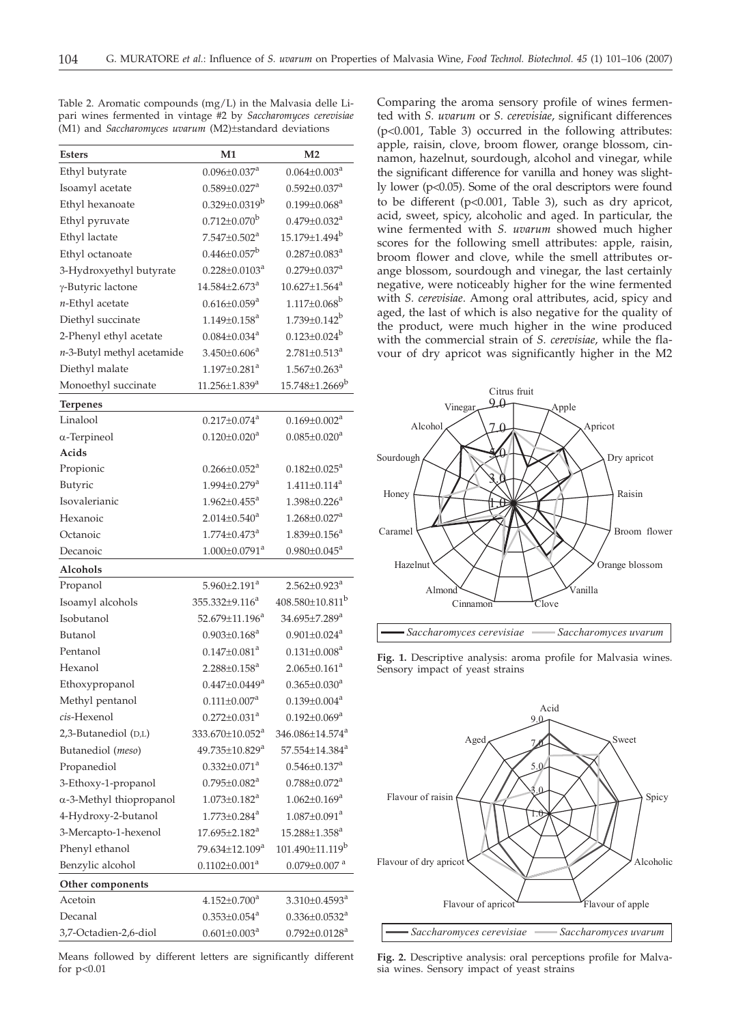Table 2. Aromatic compounds (mg/L) in the Malvasia delle Lipari wines fermented in vintage #2 by *Saccharomyces cerevisiae* (M1) and *Saccharomyces uvarum* (M2)±standard deviations

| <b>Esters</b>              | M1                              | M <sub>2</sub>                    |
|----------------------------|---------------------------------|-----------------------------------|
| Ethyl butyrate             | $0.096 \pm 0.037$ <sup>a</sup>  | $0.064 \pm 0.003^a$               |
| Isoamyl acetate            | $0.589 \pm 0.027$ <sup>a</sup>  | $0.592 \pm 0.037$ <sup>a</sup>    |
| Ethyl hexanoate            | $0.329 \pm 0.0319^b$            | $0.199 \pm 0.068^a$               |
| Ethyl pyruvate             | $0.712 \pm 0.070^b$             | $0.479 \pm 0.032$ <sup>a</sup>    |
| Ethyl lactate              | $7.547 + 0.502a$                | 15.179±1.494 <sup>b</sup>         |
| Ethyl octanoate            | $0.446 \pm 0.057^b$             | $0.287 \pm 0.083$ <sup>a</sup>    |
| 3-Hydroxyethyl butyrate    | $0.228 \pm 0.0103^a$            | $0.279 \pm 0.037$ <sup>a</sup>    |
| γ-Butyric lactone          | $14.584{\pm}2.673^a$            | $10.627 \pm 1.564$ <sup>a</sup>   |
| n-Ethyl acetate            | $0.616 \pm 0.059$ <sup>a</sup>  | $1.117 \pm 0.068^b$               |
| Diethyl succinate          | $1.149 \pm 0.158$ <sup>a</sup>  | $1.739 \pm 0.142^b$               |
| 2-Phenyl ethyl acetate     | $0.084 \pm 0.034$ <sup>a</sup>  | $0.123 \pm 0.024$ <sup>b</sup>    |
| n-3-Butyl methyl acetamide | $3.450 \pm 0.606^a$             | $2.781 \pm 0.513^a$               |
| Diethyl malate             | $1.197 \pm 0.281$ <sup>a</sup>  | $1.567 \pm 0.263$ <sup>a</sup>    |
| Monoethyl succinate        | $11.256 \pm 1.839$ <sup>a</sup> | 15.748±1.2669 <sup>b</sup>        |
| <b>Terpenes</b>            |                                 |                                   |
| Linalool                   | $0.217 \pm 0.074$ <sup>a</sup>  | $0.169 \pm 0.002^a$               |
| $\alpha$ -Terpineol        | $0.120 \pm 0.020$ <sup>a</sup>  | $0.085 \pm 0.020$ <sup>a</sup>    |
| Acids                      |                                 |                                   |
| Propionic                  | $0.266 \pm 0.052$ <sup>a</sup>  | $0.182 \pm 0.025$ <sup>a</sup>    |
| Butyric                    | $1.994 \pm 0.279$ <sup>a</sup>  | $1.411 \pm 0.114$ <sup>a</sup>    |
| Isovalerianic              | $1.962 \pm 0.455^{\text{a}}$    | $1.398 \pm 0.226^a$               |
| Hexanoic                   | $2.014 \pm 0.540^a$             | $1.268 \pm 0.027$ <sup>a</sup>    |
| Octanoic                   | $1.774 \pm 0.473$ <sup>a</sup>  | $1.839 \pm 0.156^a$               |
| Decanoic                   | $1.000 \pm 0.0791$ <sup>a</sup> | $0.980 \pm 0.045^{\text{a}}$      |
| Alcohols                   |                                 |                                   |
| Propanol                   | $5.960 \pm 2.191$ <sup>a</sup>  | $2.562 \pm 0.923$ <sup>a</sup>    |
| Isoamyl alcohols           | $355.332 \pm 9.116^a$           | $408.580 \pm 10.811$ <sup>b</sup> |
| Isobutanol                 | $52.679 \pm 11.196^a$           | 34.695±7.289 <sup>a</sup>         |
| Butanol                    | $0.903 \pm 0.168^a$             | $0.901 \pm 0.024$ <sup>a</sup>    |
| Pentanol                   | $0.147 \pm 0.081$ <sup>a</sup>  | $0.131 \pm 0.008$ <sup>a</sup>    |
| Hexanol                    | $2.288 \pm 0.158$ <sup>a</sup>  | $2.065 \pm 0.161$ <sup>a</sup>    |
| Ethoxypropanol             | $0.447 \pm 0.0449^a$            | $0.365 \pm 0.030$ <sup>a</sup>    |
| Methyl pentanol            | $0.111 \pm 0.007$ <sup>a</sup>  | $0.139 \pm 0.004^a$               |
| cis-Hexenol                | $0.272 \pm 0.031$ <sup>a</sup>  | $0.192 \pm 0.069^a$               |
| 2,3-Butanediol (D,L)       | 333.670±10.052 <sup>a</sup>     | 346.086±14.574 <sup>a</sup>       |
| Butanediol (meso)          | 49.735±10.829 <sup>a</sup>      | 57.554±14.384 <sup>a</sup>        |
| Propanediol                | $0.332 \pm 0.071^a$             | $0.546 \pm 0.137$ <sup>a</sup>    |
| 3-Ethoxy-1-propanol        | $0.795 \pm 0.082^a$             | $0.788 \pm 0.072^a$               |
| α-3-Methyl thiopropanol    | $1.073 \pm 0.182$ <sup>a</sup>  | $1.062 \pm 0.169$ <sup>a</sup>    |
| 4-Hydroxy-2-butanol        | $1.773 \pm 0.284$ <sup>a</sup>  | $1.087 \pm 0.091$ <sup>a</sup>    |
| 3-Mercapto-1-hexenol       | $17.695 \pm 2.182$ <sup>a</sup> | 15.288±1.358 <sup>a</sup>         |
| Phenyl ethanol             | 79.634±12.109 <sup>a</sup>      | 101.490±11.119 <sup>b</sup>       |
| Benzylic alcohol           | $0.1102 \pm 0.001^a$            | $0.079 \pm 0.007$ <sup>a</sup>    |
| Other components           |                                 |                                   |
| Acetoin                    | $4.152 \pm 0.700^a$             | $3.310 \pm 0.4593$ <sup>a</sup>   |
| Decanal                    | $0.353 \pm 0.054$ <sup>a</sup>  | $0.336 \pm 0.0532$ <sup>a</sup>   |
| 3,7-Octadien-2,6-diol      | $0.601 \pm 0.003^a$             | $0.792 \pm 0.0128^a$              |

Means followed by different letters are significantly different for p<0.01

Comparing the aroma sensory profile of wines fermented with *S. uvarum* or *S. cerevisiae*, significant differences (p<0.001, Table 3) occurred in the following attributes: apple, raisin, clove, broom flower, orange blossom, cinnamon, hazelnut, sourdough, alcohol and vinegar, while the significant difference for vanilla and honey was slightly lower (p<0.05). Some of the oral descriptors were found to be different (p<0.001, Table 3), such as dry apricot, acid, sweet, spicy, alcoholic and aged. In particular, the wine fermented with *S. uvarum* showed much higher scores for the following smell attributes: apple, raisin, broom flower and clove, while the smell attributes orange blossom, sourdough and vinegar, the last certainly negative, were noticeably higher for the wine fermented with *S. cerevisiae*. Among oral attributes, acid, spicy and aged, the last of which is also negative for the quality of the product, were much higher in the wine produced with the commercial strain of *S. cerevisiae*, while the flavour of dry apricot was significantly higher in the M2



**Fig. 1.** Descriptive analysis: aroma profile for Malvasia wines. Sensory impact of yeast strains



**Fig. 2.** Descriptive analysis: oral perceptions profile for Malvasia wines. Sensory impact of yeast strains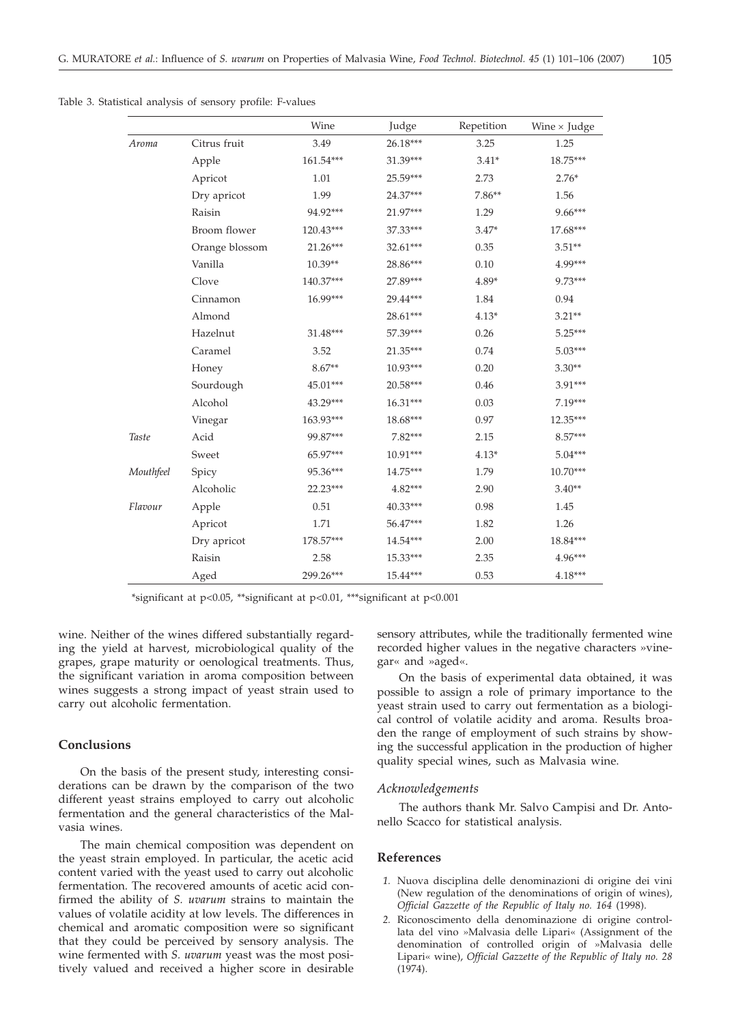|  | Table 3. Statistical analysis of sensory profile: F-values |  |  |  |  |  |
|--|------------------------------------------------------------|--|--|--|--|--|
|--|------------------------------------------------------------|--|--|--|--|--|

|           |                | Wine       | Judge      | Repetition | Wine $\times$ Judge |
|-----------|----------------|------------|------------|------------|---------------------|
| Aroma     | Citrus fruit   | 3.49       | 26.18***   | 3.25       | 1.25                |
|           | Apple          | 161.54***  | 31.39***   | $3.41*$    | 18.75***            |
|           | Apricot        | 1.01       | 25.59***   | 2.73       | $2.76*$             |
|           | Dry apricot    | 1.99       | 24.37***   | $7.86**$   | 1.56                |
|           | Raisin         | 94.92***   | 21.97***   | 1.29       | 9.66***             |
|           | Broom flower   | 120.43***  | 37.33***   | $3.47*$    | 17.68***            |
|           | Orange blossom | $21.26***$ | 32.61***   | 0.35       | $3.51**$            |
|           | Vanilla        | $10.39**$  | 28.86***   | 0.10       | 4.99***             |
|           | Clove          | 140.37***  | 27.89***   | $4.89*$    | 9.73***             |
|           | Cinnamon       | $16.99***$ | 29.44***   | 1.84       | 0.94                |
|           | Almond         |            | 28.61***   | $4.13*$    | $3.21**$            |
|           | Hazelnut       | 31.48***   | 57.39***   | 0.26       | $5.25***$           |
|           | Caramel        | 3.52       | 21.35***   | 0.74       | $5.03***$           |
|           | Honey          | $8.67**$   | $10.93***$ | 0.20       | $3.30**$            |
|           | Sourdough      | 45.01***   | 20.58***   | 0.46       | 3.91***             |
|           | Alcohol        | 43.29***   | 16.31***   | 0.03       | 7.19***             |
|           | Vinegar        | 163.93***  | 18.68***   | 0.97       | $12.35***$          |
| Taste     | Acid           | 99.87***   | $7.82***$  | 2.15       | 8.57***             |
|           | Sweet          | 65.97***   | $10.91***$ | $4.13*$    | $5.04***$           |
| Mouthfeel | Spicy          | 95.36***   | $14.75***$ | 1.79       | 10.70***            |
|           | Alcoholic      | 22.23***   | 4.82***    | 2.90       | $3.40**$            |
| Flavour   | Apple          | 0.51       | 40.33***   | 0.98       | 1.45                |
|           | Apricot        | 1.71       | 56.47***   | 1.82       | 1.26                |
|           | Dry apricot    | 178.57***  | 14.54***   | 2.00       | 18.84***            |
|           | Raisin         | 2.58       | 15.33***   | 2.35       | 4.96***             |
|           | Aged           | 299.26***  | 15.44***   | 0.53       | 4.18***             |

\*significant at p<0.05, \*\*significant at p<0.01, \*\*\*significant at p<0.001

wine. Neither of the wines differed substantially regarding the yield at harvest, microbiological quality of the grapes, grape maturity or oenological treatments. Thus, the significant variation in aroma composition between wines suggests a strong impact of yeast strain used to carry out alcoholic fermentation.

# **Conclusions**

On the basis of the present study, interesting considerations can be drawn by the comparison of the two different yeast strains employed to carry out alcoholic fermentation and the general characteristics of the Malvasia wines.

The main chemical composition was dependent on the yeast strain employed. In particular, the acetic acid content varied with the yeast used to carry out alcoholic fermentation. The recovered amounts of acetic acid confirmed the ability of *S. uvarum* strains to maintain the values of volatile acidity at low levels. The differences in chemical and aromatic composition were so significant that they could be perceived by sensory analysis. The wine fermented with *S. uvarum* yeast was the most positively valued and received a higher score in desirable

sensory attributes, while the traditionally fermented wine recorded higher values in the negative characters »vinegar« and »aged«.

On the basis of experimental data obtained, it was possible to assign a role of primary importance to the yeast strain used to carry out fermentation as a biological control of volatile acidity and aroma. Results broaden the range of employment of such strains by showing the successful application in the production of higher quality special wines, such as Malvasia wine.

## *Acknowledgements*

The authors thank Mr. Salvo Campisi and Dr. Antonello Scacco for statistical analysis.

# **References**

- *1.* Nuova disciplina delle denominazioni di origine dei vini (New regulation of the denominations of origin of wines), *Official Gazzette of the Republic of Italy no. 164* (1998).
- *2.* Riconoscimento della denominazione di origine controllata del vino »Malvasia delle Lipari« (Assignment of the denomination of controlled origin of »Malvasia delle Lipari« wine), *Official Gazzette of the Republic of Italy no. 28* (1974).